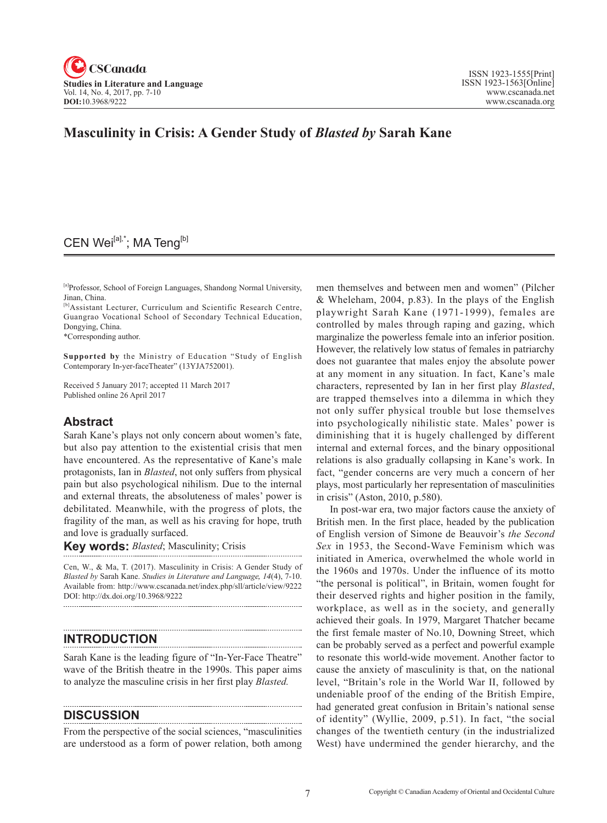

# **Masculinity in Crisis: A Gender Study of** *Blasted by* **Sarah Kane**

# CEN Wei<sup>[a],\*</sup>; MA Teng<sup>[b]</sup>

[a]Professor, School of Foreign Languages, Shandong Normal University, Jinan, China.

[b]Assistant Lecturer, Curriculum and Scientific Research Centre, Guangrao Vocational School of Secondary Technical Education, Dongying, China.

\*Corresponding author.

**Supported by** the Ministry of Education "Study of English Contemporary In-yer-faceTheater" (13YJA752001).

Received 5 January 2017; accepted 11 March 2017 Published online 26 April 2017

### **Abstract**

Sarah Kane's plays not only concern about women's fate, but also pay attention to the existential crisis that men have encountered. As the representative of Kane's male protagonists, Ian in *Blasted*, not only suffers from physical pain but also psychological nihilism. Due to the internal and external threats, the absoluteness of males' power is debilitated. Meanwhile, with the progress of plots, the fragility of the man, as well as his craving for hope, truth and love is gradually surfaced.

**Key words:** *Blasted*; Masculinity; Crisis

Cen, W., & Ma, T. (2017). Masculinity in Crisis: A Gender Study of *Blasted by* Sarah Kane. *Studies in Literature and Language*, <sup>14</sup>(4), 7-10. Available from: http://www.cscanada.net/index.php/sll/article/view/9222 DOI: http://dx.doi.org/10.3968/9222 

## **INTRODUCTION**

Sarah Kane is the leading figure of "In-Yer-Face Theatre" wave of the British theatre in the 1990s. This paper aims to analyze the masculine crisis in her first play *Blasted.*

### **DISCUSSION**

From the perspective of the social sciences, "masculinities are understood as a form of power relation, both among men themselves and between men and women" (Pilcher & Wheleham, 2004, p.83). In the plays of the English playwright Sarah Kane (1971-1999), females are controlled by males through raping and gazing, which marginalize the powerless female into an inferior position. However, the relatively low status of females in patriarchy does not guarantee that males enjoy the absolute power at any moment in any situation. In fact, Kane's male characters, represented by Ian in her first play *Blasted*, are trapped themselves into a dilemma in which they not only suffer physical trouble but lose themselves into psychologically nihilistic state. Males' power is diminishing that it is hugely challenged by different internal and external forces, and the binary oppositional relations is also gradually collapsing in Kane's work. In fact, "gender concerns are very much a concern of her plays, most particularly her representation of masculinities in crisis" (Aston, 2010, p.580).

In post-war era, two major factors cause the anxiety of British men. In the first place, headed by the publication of English version of Simone de Beauvoir's *the Second Sex* in 1953, the Second-Wave Feminism which was initiated in America, overwhelmed the whole world in the 1960s and 1970s. Under the influence of its motto "the personal is political", in Britain, women fought for their deserved rights and higher position in the family, workplace, as well as in the society, and generally achieved their goals. In 1979, Margaret Thatcher became the first female master of No.10, Downing Street, which can be probably served as a perfect and powerful example to resonate this world-wide movement. Another factor to cause the anxiety of masculinity is that, on the national level, "Britain's role in the World War II, followed by undeniable proof of the ending of the British Empire, had generated great confusion in Britain's national sense of identity" (Wyllie, 2009, p.51). In fact, "the social changes of the twentieth century (in the industrialized West) have undermined the gender hierarchy, and the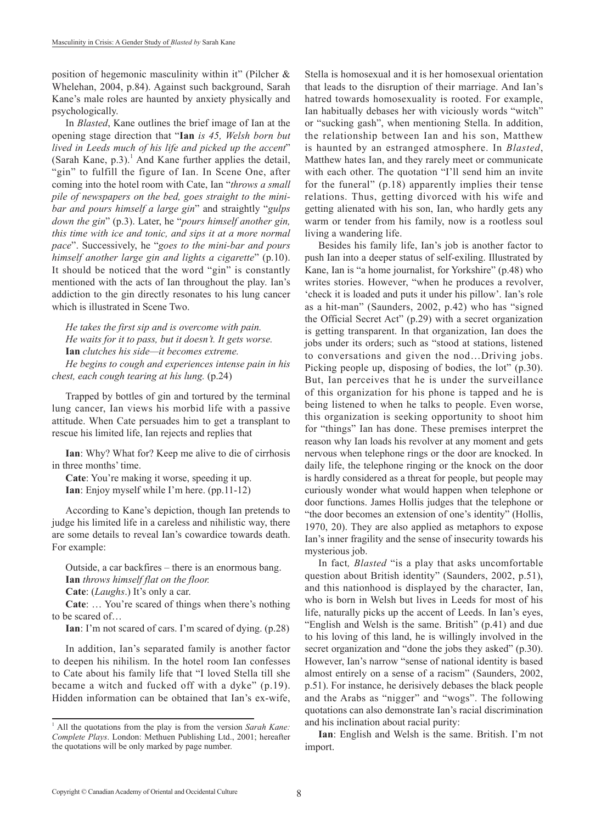position of hegemonic masculinity within it" (Pilcher & Whelehan, 2004, p.84). Against such background, Sarah Kane's male roles are haunted by anxiety physically and psychologically.

In *Blasted*, Kane outlines the brief image of Ian at the opening stage direction that "**Ian** *is 45, Welsh born but lived in Leeds much of his life and picked up the accent*" (Sarah Kane, p.3).<sup>1</sup> And Kane further applies the detail, "gin" to fulfill the figure of Ian. In Scene One, after coming into the hotel room with Cate, Ian "*throws a small pile of newspapers on the bed, goes straight to the minibar and pours himself a large gin*" and straightly "*gulps down the gin*" (p.3). Later, he "*pours himself another gin, this time with ice and tonic, and sips it at a more normal pace*". Successively, he "*goes to the mini-bar and pours himself another large gin and lights a cigarette*" (p.10). It should be noticed that the word "gin" is constantly mentioned with the acts of Ian throughout the play. Ian's addiction to the gin directly resonates to his lung cancer which is illustrated in Scene Two.

*He takes the first sip and is overcome with pain. He waits for it to pass, but it doesn't. It gets worse.* **Ian** *clutches his side—it becomes extreme. He begins to cough and experiences intense pain in his chest, each cough tearing at his lung.* (p.24)

Trapped by bottles of gin and tortured by the terminal lung cancer, Ian views his morbid life with a passive attitude. When Cate persuades him to get a transplant to rescue his limited life, Ian rejects and replies that

**Ian**: Why? What for? Keep me alive to die of cirrhosis in three months' time.

**Cate**: You're making it worse, speeding it up. **Ian**: Enjoy myself while I'm here. (pp.11-12)

According to Kane's depiction, though Ian pretends to judge his limited life in a careless and nihilistic way, there are some details to reveal Ian's cowardice towards death. For example:

Outside, a car backfires – there is an enormous bang. **Ian** *throws himself flat on the floor.* **Cate**: (*Laughs*.) It's only a car.

**Cate**: … You're scared of things when there's nothing to be scared of…

**Ian**: I'm not scared of cars. I'm scared of dying. (p.28)

In addition, Ian's separated family is another factor to deepen his nihilism. In the hotel room Ian confesses to Cate about his family life that "I loved Stella till she became a witch and fucked off with a dyke" (p.19). Hidden information can be obtained that Ian's ex-wife,

Stella is homosexual and it is her homosexual orientation that leads to the disruption of their marriage. And Ian's hatred towards homosexuality is rooted. For example, Ian habitually debases her with viciously words "witch" or "sucking gash", when mentioning Stella. In addition, the relationship between Ian and his son, Matthew is haunted by an estranged atmosphere. In *Blasted*, Matthew hates Ian, and they rarely meet or communicate with each other. The quotation "I'll send him an invite for the funeral" (p.18) apparently implies their tense relations. Thus, getting divorced with his wife and getting alienated with his son, Ian, who hardly gets any warm or tender from his family, now is a rootless soul living a wandering life.

Besides his family life, Ian's job is another factor to push Ian into a deeper status of self-exiling. Illustrated by Kane, Ian is "a home journalist, for Yorkshire" (p.48) who writes stories. However, "when he produces a revolver, 'check it is loaded and puts it under his pillow'. Ian's role as a hit-man" (Saunders, 2002, p.42) who has "signed the Official Secret Act" (p.29) with a secret organization is getting transparent. In that organization, Ian does the jobs under its orders; such as "stood at stations, listened to conversations and given the nod…Driving jobs. Picking people up, disposing of bodies, the lot" (p.30). But, Ian perceives that he is under the surveillance of this organization for his phone is tapped and he is being listened to when he talks to people. Even worse, this organization is seeking opportunity to shoot him for "things" Ian has done. These premises interpret the reason why Ian loads his revolver at any moment and gets nervous when telephone rings or the door are knocked. In daily life, the telephone ringing or the knock on the door is hardly considered as a threat for people, but people may curiously wonder what would happen when telephone or door functions. James Hollis judges that the telephone or "the door becomes an extension of one's identity" (Hollis, 1970, 20). They are also applied as metaphors to expose Ian's inner fragility and the sense of insecurity towards his mysterious job.

In fact*, Blasted* "is a play that asks uncomfortable question about British identity" (Saunders, 2002, p.51), and this nationhood is displayed by the character, Ian, who is born in Welsh but lives in Leeds for most of his life, naturally picks up the accent of Leeds. In Ian's eyes, "English and Welsh is the same. British" (p.41) and due to his loving of this land, he is willingly involved in the secret organization and "done the jobs they asked" (p.30). However, Ian's narrow "sense of national identity is based almost entirely on a sense of a racism" (Saunders, 2002, p.51). For instance, he derisively debases the black people and the Arabs as "nigger" and "wogs". The following quotations can also demonstrate Ian's racial discrimination and his inclination about racial purity:

**Ian**: English and Welsh is the same. British. I'm not import.

<sup>&</sup>lt;sup>1</sup> All the quotations from the play is from the version Sarah Kane: *Complete Plays*. London: Methuen Publishing Ltd., 2001; hereafter the quotations will be only marked by page number.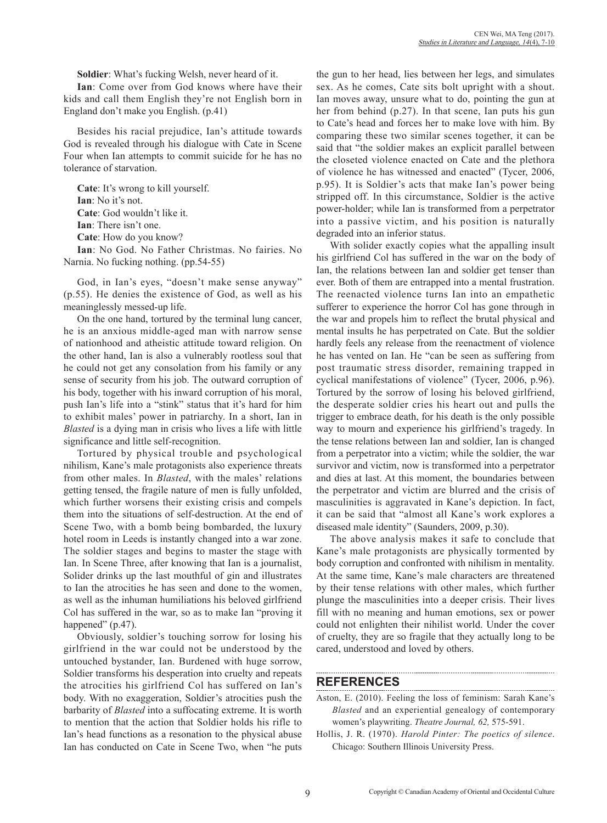**Soldier**: What's fucking Welsh, never heard of it.

**Ian**: Come over from God knows where have their kids and call them English they're not English born in England don't make you English. (p.41)

Besides his racial prejudice, Ian's attitude towards God is revealed through his dialogue with Cate in Scene Four when Ian attempts to commit suicide for he has no tolerance of starvation.

**Cate**: It's wrong to kill yourself. **Ian**: No it's not. **Cate**: God wouldn't like it. **Ian**: There isn't one. **Cate**: How do you know?

**Ian**: No God. No Father Christmas. No fairies. No Narnia. No fucking nothing. (pp.54-55)

God, in Ian's eyes, "doesn't make sense anyway" (p.55). He denies the existence of God, as well as his meaninglessly messed-up life.

On the one hand, tortured by the terminal lung cancer, he is an anxious middle-aged man with narrow sense of nationhood and atheistic attitude toward religion. On the other hand, Ian is also a vulnerably rootless soul that he could not get any consolation from his family or any sense of security from his job. The outward corruption of his body, together with his inward corruption of his moral, push Ian's life into a "stink" status that it's hard for him to exhibit males' power in patriarchy. In a short, Ian in *Blasted* is a dying man in crisis who lives a life with little significance and little self-recognition.

Tortured by physical trouble and psychological nihilism, Kane's male protagonists also experience threats from other males. In *Blasted*, with the males' relations getting tensed, the fragile nature of men is fully unfolded, which further worsens their existing crisis and compels them into the situations of self-destruction. At the end of Scene Two, with a bomb being bombarded, the luxury hotel room in Leeds is instantly changed into a war zone. The soldier stages and begins to master the stage with Ian. In Scene Three, after knowing that Ian is a journalist, Solider drinks up the last mouthful of gin and illustrates to Ian the atrocities he has seen and done to the women, as well as the inhuman humiliations his beloved girlfriend Col has suffered in the war, so as to make Ian "proving it happened" (p.47).

Obviously, soldier's touching sorrow for losing his girlfriend in the war could not be understood by the untouched bystander, Ian. Burdened with huge sorrow, Soldier transforms his desperation into cruelty and repeats the atrocities his girlfriend Col has suffered on Ian's body. With no exaggeration, Soldier's atrocities push the barbarity of *Blasted* into a suffocating extreme. It is worth to mention that the action that Soldier holds his rifle to Ian's head functions as a resonation to the physical abuse Ian has conducted on Cate in Scene Two, when "he puts

the gun to her head, lies between her legs, and simulates sex. As he comes, Cate sits bolt upright with a shout. Ian moves away, unsure what to do, pointing the gun at her from behind (p.27). In that scene, Ian puts his gun to Cate's head and forces her to make love with him. By comparing these two similar scenes together, it can be said that "the soldier makes an explicit parallel between the closeted violence enacted on Cate and the plethora of violence he has witnessed and enacted" (Tycer, 2006, p.95). It is Soldier's acts that make Ian's power being stripped off. In this circumstance, Soldier is the active power-holder; while Ian is transformed from a perpetrator into a passive victim, and his position is naturally degraded into an inferior status.

With solider exactly copies what the appalling insult his girlfriend Col has suffered in the war on the body of Ian, the relations between Ian and soldier get tenser than ever. Both of them are entrapped into a mental frustration. The reenacted violence turns Ian into an empathetic sufferer to experience the horror Col has gone through in the war and propels him to reflect the brutal physical and mental insults he has perpetrated on Cate. But the soldier hardly feels any release from the reenactment of violence he has vented on Ian. He "can be seen as suffering from post traumatic stress disorder, remaining trapped in cyclical manifestations of violence" (Tycer, 2006, p.96). Tortured by the sorrow of losing his beloved girlfriend, the desperate soldier cries his heart out and pulls the trigger to embrace death, for his death is the only possible way to mourn and experience his girlfriend's tragedy. In the tense relations between Ian and soldier, Ian is changed from a perpetrator into a victim; while the soldier, the war survivor and victim, now is transformed into a perpetrator and dies at last. At this moment, the boundaries between the perpetrator and victim are blurred and the crisis of masculinities is aggravated in Kane's depiction. In fact, it can be said that "almost all Kane's work explores a diseased male identity" (Saunders, 2009, p.30).

The above analysis makes it safe to conclude that Kane's male protagonists are physically tormented by body corruption and confronted with nihilism in mentality. At the same time, Kane's male characters are threatened by their tense relations with other males, which further plunge the masculinities into a deeper crisis. Their lives fill with no meaning and human emotions, sex or power could not enlighten their nihilist world. Under the cover of cruelty, they are so fragile that they actually long to be cared, understood and loved by others.

#### **REFERENCES**

- Aston, E. (2010). Feeling the loss of feminism: Sarah Kane's *Blasted* and an experiential genealogy of contemporary women's playwriting. *Theatre Journal, 62,* 575-591.
- Hollis, J. R. (1970). *Harold Pinter: The poetics of silence*. Chicago: Southern Illinois University Press.